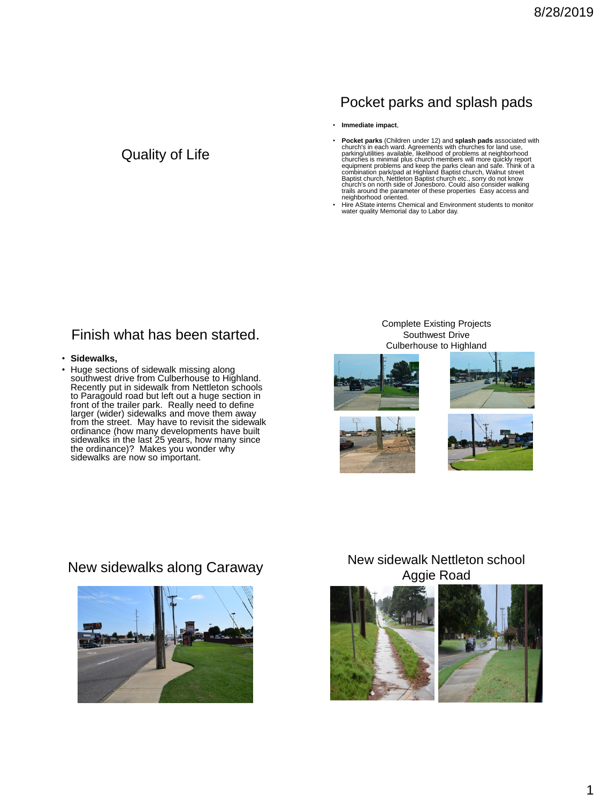# Pocket parks and splash pads

• **Immediate impact**,

- **Pocket parks** (Children under 12) and **splash pads** associated with church's in each ward. Agreements with churches for land use, parking/utilities available, likelihood of problems at neighborhood churches is minimal plus church members will more quickly report<br>equipment problems and keep the parks clean and safe. Think of a<br>combination park/pad at Highland Baptist church, Walnut street<br>Baptist church, Nettleton Bap neighborhood oriented.
- Hire AState interns Chemical and Environment students to monitor water quality Memorial day to Labor day.

### Finish what has been started.

Quality of Life

- **Sidewalks,**
- Huge sections of sidewalk missing along southwest drive from Culberhouse to Highland. Recently put in sidewalk from Nettleton schools to Paragould road but left out a huge section in front of the trailer park. Really need to define larger (wider) sidewalks and move them away from the street. May have to revisit the sidewalk ordinance (how many developments have built sidewalks in the last 25 years, how many since the ordinance)? Makes you wonder why sidewalks are now so important.

#### Complete Existing Projects Southwest Drive Culberhouse to Highland











## New sidewalks along Caraway New sidewalk Nettleton school Aggie Road



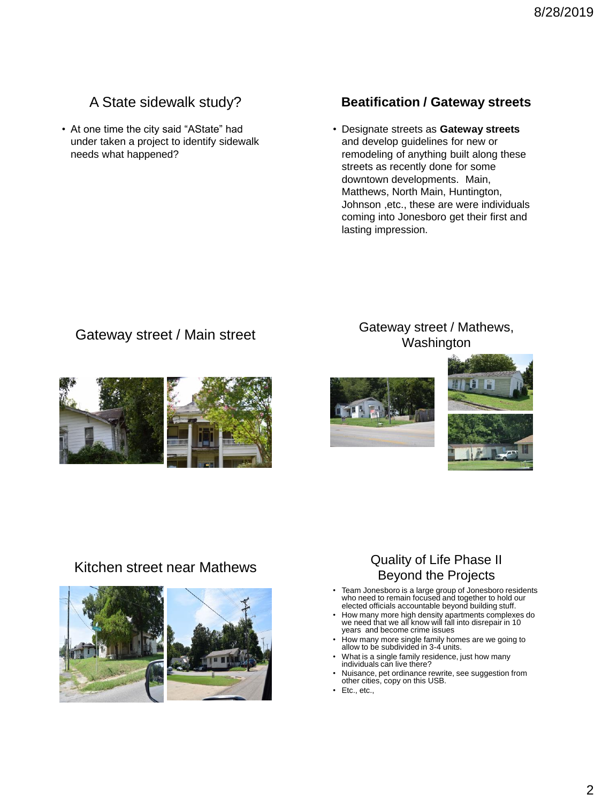# A State sidewalk study?

• At one time the city said "AState" had under taken a project to identify sidewalk needs what happened?

### **Beatification / Gateway streets**

• Designate streets as **Gateway streets** and develop guidelines for new or remodeling of anything built along these streets as recently done for some downtown developments. Main, Matthews, North Main, Huntington, Johnson ,etc., these are were individuals coming into Jonesboro get their first and lasting impression.



### Gateway street / Main street **Gateway street / Mathews**, Washington









## Kitchen street near Mathews **Quality of Life Phase II** Beyond the Projects

- Team Jonesboro is a large group of Jonesboro residents who need to remain focused and together to hold our elected officials accountable beyond building stuff.
- How many more high density apartments complexes do we need that we all know will fall into disrepair in 10 years and become crime issues
- How many more single family homes are we going to allow to be subdivided in 3-4 units.
- What is a single family residence, just how many individuals can live there?
- Nuisance, pet ordinance rewrite, see suggestion from other cities, copy on this USB.
- Etc., etc.,